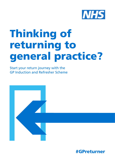

# Thinking of returning to general practice?

Start your return journey with the GP Induction and Refresher Scheme



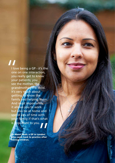I love being a GP - it's the<br>
one on one interaction,<br>
you really get to know<br>
your patients: you one on one interaction, you really get to know your patients; you see the mother, the grandmother, the child. It's very much about getting to know the family and helping them. And most importantly, it allows you to work but also be at home and spend lots of time with your family if that's what

is important to you.<br>Dr Mansi Shah, a GP in London<br>who came back to practice after<br>having children. who came back to practice after having children.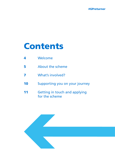

## Contents

| 4  | Welcome                                         |
|----|-------------------------------------------------|
| 5  | About the scheme                                |
|    | What's involved?                                |
| 10 | Supporting you on your journey                  |
| 11 | Getting in touch and applying<br>for the scheme |

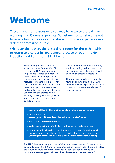## **Welcome**

There are lots of reasons why you may have taken a break from working in NHS general practice. Sometimes it's to take time out to raise a family, move or work abroad or to gain experience in a different profession or role.

Whatever the reason, there is a direct route for those that wish to return to a career in NHS general practice through the GP Induction and Refresher (I&R) Scheme.

> supported route for qualified GPs you'll be coming back to one of the to return to NHS general practice in most rewarding, challenging, flexible England. It's tailored to meet your and diverse careers in medicine. needs, experiences and personal commitments, and has lots of new This brochure describes the refresher features to make things simpler for route and how a qualified GP, with practical support, and access to a to general practice after a break of dedicated account manager to quide two years or more. you through the process. If you are working or living overseas, you can start the scheme before you move back to England.

> The scheme provides a safe and Whatever your reason for returning,

you. This includes more financial and previous NHS GP experience, can return

If you would like to find out more about the scheme you can:

- Visit our website: [\(www.gprecruitment.hee.nhs.uk/Induction-Refresher\)](https://gprecruitment.hee.nhs.uk/Induction-Refresher)
- Email us on [IandR@hee.nhs.uk](mailto:IandR@hee.nhs.uk)
- Watch our short **[animated film](https://www.youtube.com/watch?v=GVU5i1Gdi4A)** which explains what's involved.
- Contact your local Health Education England I&R lead for an informal discussion about the scheme. Their contact details are on our website [\(www.gprecruitment.hee.nhs.uk/Induction-Refresher/Contact\)](https://gprecruitment.hee.nhs.uk/Induction-Refresher/Contact).

The I&R Scheme also supports the safe introduction of overseas GPs who have qualified outside the UK and have no previous NHS experience. These GPs follow the induction route and more information about this can be found on our website [\(www.gprecruitment.hee.nhs.uk/Induction-Refresher\).](https://gprecruitment.hee.nhs.uk/Induction-Refresher)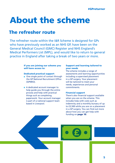# About the scheme

### The refresher route

The refresher route within the I&R Scheme is designed for GPs who have previously worked as an NHS GP, have been on the General Medical Council (GMC) Register and NHS England's Medical Performers List (MPL), and would like to return to general practice in England after taking a break of two years or more.

#### If you are joining our scheme you will have access to:

#### Dedicated practical support

- One single point of contact through the GP National Recruitment Office (GPNRO).
- A dedicated account manager to help guide you through the entire process and help with practical things such as completing paperwork. Your account manager is part of a national support team based in Liverpool.

#### Support and learning tailored to your needs

The scheme includes a range of assessments and learning opportunities including a supervised placement in a GP surgery. Your placement will be tailored to meet your needs, experiences and personal commitments.

#### Financial support

There's also financial support available when you are on the scheme. This includes help with costs such as indemnity and a monthly bursary of up to £3,500 while you are on a placement in a GP surgery. You can find out more about how you can get help with funding on [page 10](#page-9-0).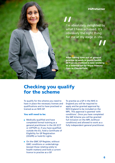#### #GPreturner

I'm absolutely delighted by<br>
I'm absolutely delighted by<br>
what I have achieved. It's<br>
obviously the right thing<br>
for me at my stage in life what I have achieved. It's obviously the right thing for me at my stage in life.

After taking time out of general " practice to work in public health, Dr Frances Clement is now working as a salaried GP for Royal Primary Care in Chesterfield.

### Checking you qualify for the scheme

To qualify for the scheme you need to To practise as a GP in the NHS in have in place the necessary licenses and England you will be required to qualifications and to have practised or apply and be granted approval by trained as an NHS GP. NHS England to be included on the

- or JCPTGP) or, if you have qualified outside the EU, hold a Certificate of Eligibility for GP Registration (CEGPR) or hold EU rights.
- On the GMC GP Register, without GMC conditions or undertakings (except those relating solely to health matters) and hold a current licence to practise as a GP.

general practitioner in the UK (CCT fully independent general practitioner. MPL. This approval is granted 'with You will need to be: conditions'. Once you have completed the I&R Scheme you will be granted  $\blacksquare$  Medically qualified and have full inclusion on the MPL (without completed formal training as a conditions) and allowed to work as a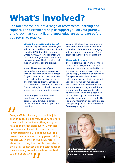# What's involved?

The I&R Scheme includes a range of assessments, learning and support. The assessments help us support you on your journey, and check that your skills and knowledge are up to date before you return to practice.

#### What's the assessment process?

Once you register for the scheme you will be contacted by a member of staff from the GP National Recruitment Office (GPNRO). Your application will be shared with your dedicated account manager who will be in touch to help support you through the process.

You will have a review of your qualifications and work experience with an Induction and Refresher lead for your area and you may be invited to take a learning needs assessment. The Induction and Refresher lead is usually someone from the local Health Education England office in the area where you are planning to practise.

Depending on your needs and experience, the learning needs assessment will include a career review interview and multiple choice questions.

You may also be asked to complete a simulated surgery assessment and a supervised placement in a GP surgery with work based assessments. These are described in more detail on **[page 8.](#page-7-0)** 

#### The portfolio route

There is also the option of a portfolio route. This is designed for GPs who have previously worked in the UK but are now working overseas. It allows you to supply a portfolio of documents from your current place of work (within primary care) that demonstrates your skills have been maintained while overseas. It can be completed while you are working abroad. There is a one month placement to help re-orientate yourself and a report to be completed by your educational supervisor after your return to the UK. For more information about this route and applying, please see RCGP website [\(www.rcgp.org.uk\).](http://www.rcgp.org.uk)

Being a GP is still a very worthwhile job, even though it is also very tough. You have<br>to know a lot about everything and you<br>have to make decisions every 10 minutes have to make decisions every 10 minutes but there is still a lot of job satisfaction. I enjoy supporting GPs to come back to a career they have spent many years training for and which they enjoyed. My role is about supporting them while they refresh their skills, competencies and confidence so they are ready to make a safe return back to general practice.



GP educational supervisor, Dr Helen Rainford is an enthusiastic advocate of the scheme.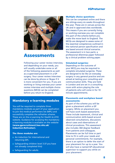#### #GPreturner

<span id="page-7-0"></span>

### Assessments

Following your career review interview, and depending on your needs, you will usually undertake some or all of the following assessments as well as a supervised placement in a GP surgery. Your career review interview can be done by phone or Skype if it is more convenient for you. If you are working or living overseas your career review interview and multiple choice questions (MCQ) can be completed before you return to England.

### Mandatory e-learning modules

You will be required to complete three mandatory modules as part of your application to join the medical performers list (MPL) and successfully complete the refresher scheme. These are on the e-Learning for Health (e-LFH) website. Guidance for accessing the mandatory e-learning modules is available on the website [\(www.gprecruitment.hee.nhs.uk/](https://gprecruitment.hee.nhs.uk/Induction-Refresher)  Induction-Refresher).

#### The three modules are:

- An induction for international and returning GPs
- Safeguarding children level 3 (if you have not already completed this)
- **Safeguarding for adults**

#### Multiple choice questions:

This can be completed online and there are sittings every six weeks throughout the year. These are in venues across the UK and in approved sites worldwide. This means if you are currently living or working overseas you can complete this part of the scheme before you make the move back to England. The MCQs are designed to assess some of the essential competences outlined in the national person specification and are based around clinical scenarios. The assessment is in two parts: a professional dilemmas paper followed by a clinical problem solving paper.

#### Simulated surgeries:

Depending on the outcome of your MCQ you may be required to complete simulated surgeries. These are designed to be like an everyday surgery in any general practice and are aimed at testing your consulting and communication skills. They are held in London and are set in a consulting room with actors playing the role of patients who will come in for 10 minute appointments.

#### Placements and workplace based assessments:

As part of the scheme you will be given a placement within a GP surgery. While on placement you will have work based assessments. These include teamwork, clinical and communication skills based around observed consultations, discussions about cases and observations of clinical procedures. This assessment also includes 360 degree feedback from patients and colleagues. Placements can be full time or part time to fit in with your needs and personal commitments. For example, there is an option to defer the start of your placement for up to a year. You will also have a named GP educational supervisor to support you while on your placement.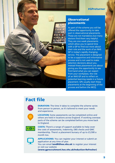#### #GPreturner



### Observational placements

They are one week placements process and before the MCQ. As part of the scheme you will be offered the opportunity to take part in observational placements. These are not mandatory but many doctors find them very helpful. which allow you to spend time with a GP to find out more about their role and the work of an NHS GP in today's rapidly changing service. The placement is designed to be a supportive and informative process and is not used to make selection decisions about you. Instead these placements are about giving you the opportunity to see first-hand what you can expect from your workplace, the role of an NHS GP and to reflect on potential learning needs in a future placement. GPs usually start these placements at the beginning of the

## Fact file



**DURATION:** The time it takes to complete the scheme varies from person to person, as it's tailored to meet your needs and experience.

LOCATION: Some assessments can be completed online and others are held in locations across England. If working overseas parts of the scheme can be completed before you move back to England.



COSTS: There's a range of support available to help cover the costs of assessments, indemnity, DBS checks and GMC membership. There's a placement bursary of up to £3,500 a month too.



 or visit our website [\(www.gprecruitment.hee.nhs.uk/Induction-Refresher\)](https://gprecruitment.hee.nhs.uk/Induction-Refresher) 9 APPLICATIONS: You can register your interest or submit an application at any time of year. You can email landR@hee.nhs.uk to register your interest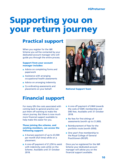## <span id="page-9-0"></span>Supporting you on your return journey

## Practical support

When you register for the I&R Scheme you will be contacted by your dedicated account manager who will guide you through the entire process.

#### Support from your account manager includes:

- Advice on completing forms and paperwork
- Assistance with arranging occupational health assessments
- Advice on arranging indemnity
- Co-ordinating assessments and placements on your behalf.



National Support Team

## Financial support

For many GPs the costs associated with coming back to general practice can put them off wanting to make the return journey. But there is now much more financial support available to help make this easier for you.

#### Those joining the scheme, and existing members, can access the following support:

- A bursary payment of up to £3,500 per month (full time) while on a placement.
- A one-off payment of £1,250 to assist with indemnity costs while on the Scheme. Available until 31 October 2018.
- A one-off payment of £464 towards the costs of GMC membership and DBS fees. Available until 31 October 2018.
- No fees for first sittings of assessments (worth up to £1,000).
- Reimbursement of fees for the portfolio route (worth £950).
- One year's free membership to the Royal College of General Practitioners (RCGP).

Once you've registered for the I&R Scheme your dedicated account manager will advise you on the financial support available.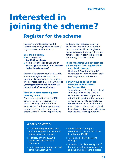# Interested in joining the scheme?

## Register for the scheme

Register your interest for the I&R Scheme as soon as you know you want to join or need advice about it.

### You can do this by

- Emailing us on [IandR@hee.nhs.uk](mailto:IandR@hee.nhs.uk)
- Completing the registration form [\(www.gprecruitment.hee.nhs.uk/](https://gprecruitment.hee.nhs.uk/Induction-Refresher)  Induction-Refresher)

You can also contact your local Health Education England I&R lead for an informal discussion about the scheme. Their contact details are on our website [\(www.gprecruitment.hee.nhs.uk/](https://gprecruitment.hee.nhs.uk/Induction-Refresher/Contact)  Induction-Refresher/Contact)

#### We'll then start assessing your learning needs

Once your registration for the I&R Scheme has been processed, your details will be passed to the HEE local I&R lead in the area you intend to practise. They will arrange your career review interview appointment to discuss your previous training and experience, and advise on the next steps. You will also be given a dedicated account manager from our national support team to help guide you through the I&R process.

#### and obtain licences: In the meantime you can start to: **Renew your GMC registrations**

Qualified GPs with previous GP experience will need to renew their GMC registration and licence.

#### Start your application for Performers List: inclusion on the Medical

To practise as an NHS GP in England you have to be on the Medical Performers List (MPL). If you are returning to practise after two years or more you have to complete the I&R Scheme to be included on the MPL. There is now an NHS England team, based in Liverpool, to help you manage your initial application.

### What's on offer?

- A tailored programme to meet your learning needs, experiences and personal commitments
- A bursary of up to £3,500 a month while you are on a placement
- Help towards indemnity costs and other fees worth £1,714
- No fees for first sittings of assessments or the portfolio route (worth up to £1,000)
- Access to a dedicated account manager
- Options to complete some parts of the scheme before moving back to England, if you are living overseas